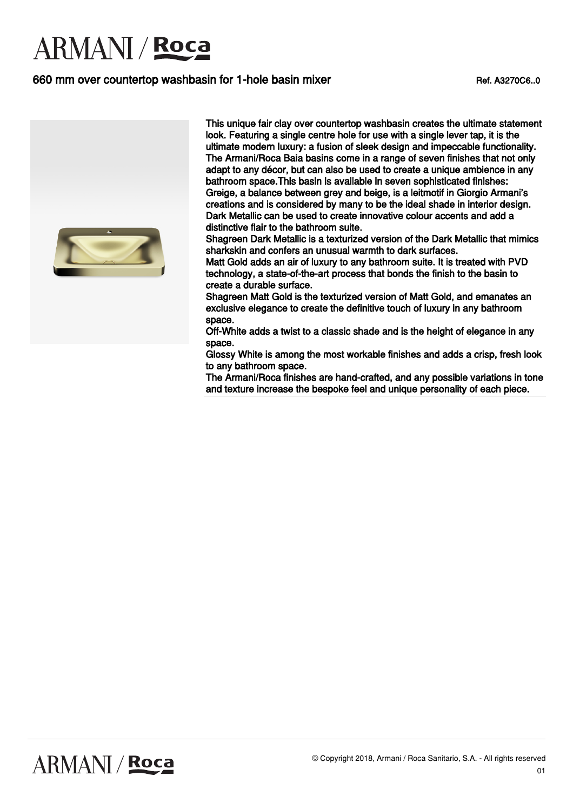# 660 mm over countertop washbasin for 1-hole basin mixer Ref. A3270C6..0



This unique fair clay over countertop washbasin creates the ultimate statement look. Featuring a single centre hole for use with a single lever tap, it is the ultimate modern luxury: a fusion of sleek design and impeccable functionality. The Armani/Roca Baia basins come in a range of seven finishes that not only adapt to any décor, but can also be used to create a unique ambience in any bathroom space.This basin is available in seven sophisticated finishes: Greige, a balance between grey and beige, is a leitmotif in Giorgio Armani's creations and is considered by many to be the ideal shade in interior design. Dark Metallic can be used to create innovative colour accents and add a distinctive flair to the bathroom suite.

Shagreen Dark Metallic is a texturized version of the Dark Metallic that mimics sharkskin and confers an unusual warmth to dark surfaces.

Matt Gold adds an air of luxury to any bathroom suite. It is treated with PVD technology, a state-of-the-art process that bonds the finish to the basin to create a durable surface.

Shagreen Matt Gold is the texturized version of Matt Gold, and emanates an exclusive elegance to create the definitive touch of luxury in any bathroom space.

Off-White adds a twist to a classic shade and is the height of elegance in any space.

Glossy White is among the most workable finishes and adds a crisp, fresh look to any bathroom space.

The Armani/Roca finishes are hand-crafted, and any possible variations in tone and texture increase the bespoke feel and unique personality of each piece.

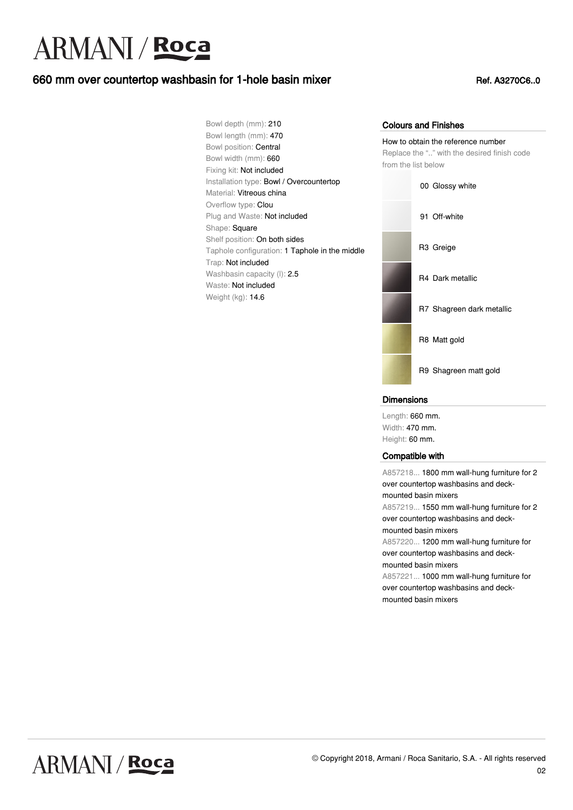### 660 mm over countertop washbasin for 1-hole basin mixer example and the Ref. A3270C6..0

Bowl depth (mm): 210 Bowl length (mm): 470 Bowl position: Central Bowl width (mm): 660 Fixing kit: Not included Installation type: Bowl / Overcountertop Material: Vitreous china Overflow type: Clou Plug and Waste: Not included Shape: Square Shelf position: On both sides Taphole configuration: 1 Taphole in the middle Trap: Not included Washbasin capacity (I): 2.5 Waste: Not included Weight (kg): 14.6

#### Colours and Finishes

How to obtain the reference number Replace the ".." with the desired finish code from the list below



#### **Dimensions**

Length: 660 mm. Width: 470 mm. Height: 60 mm.

#### Compatible with

A857218... 1800 mm wall-hung furniture for 2 over countertop washbasins and deckmounted basin mixers A857219... 1550 mm wall-hung furniture for 2 over countertop washbasins and deckmounted basin mixers A857220... 1200 mm wall-hung furniture for over countertop washbasins and deckmounted basin mixers A857221... 1000 mm wall-hung furniture for over countertop washbasins and deckmounted basin mixers

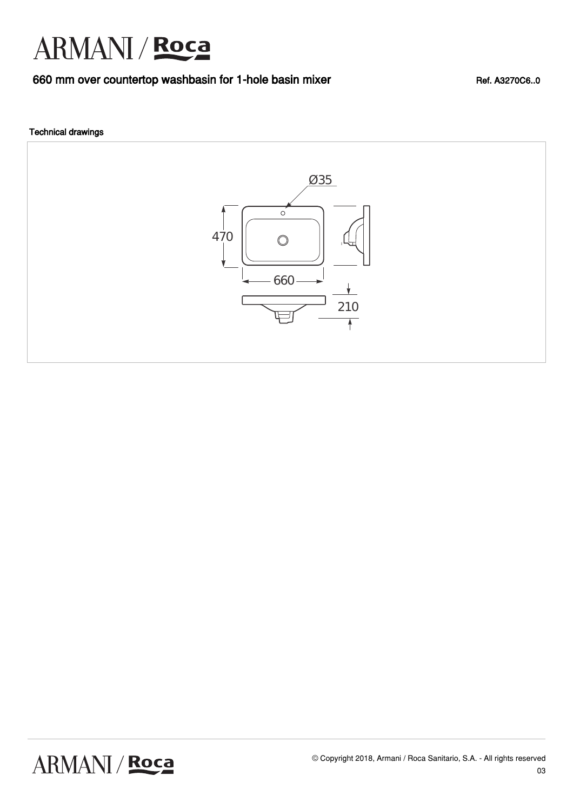

### 660 mm over countertop washbasin for 1-hole basin mixer Ref. A3270C6..0

### Technical drawings

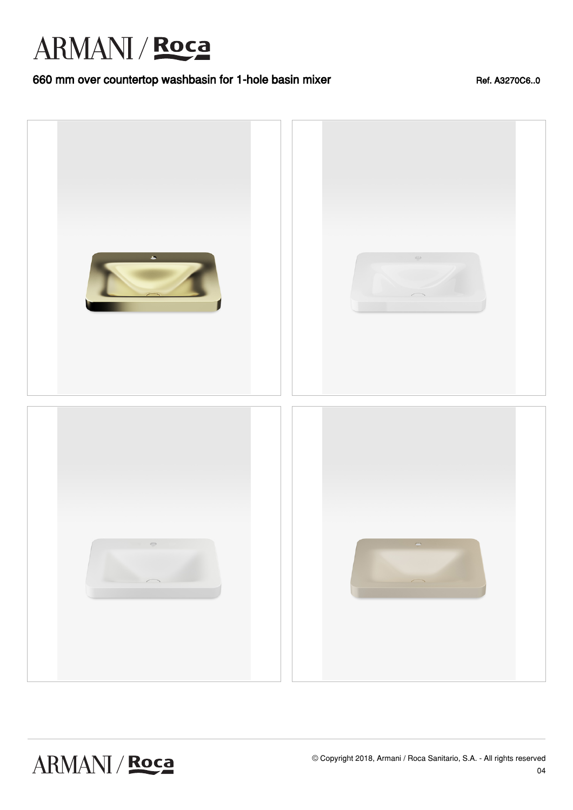## 660 mm over countertop washbasin for 1-hole basin mixer **Ref. A3270C6.0** Ref. A3270C6.0